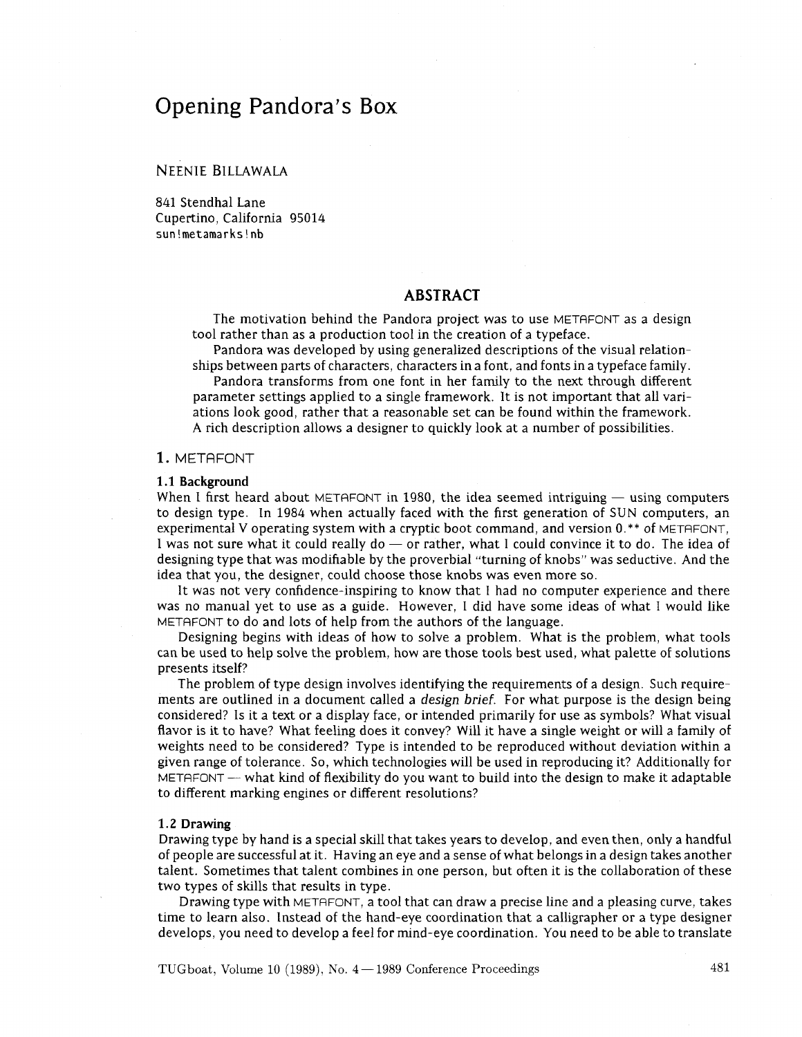# Opening Pandora's Box

## NEENIE BILLAWALA

841 Stendhal Lane Cupertino, California 95014 **sun!metamarks!nb** 

# **ABSTRACT**

The motivation behind the Pandora project was to use METAFONT as a design tool rather than as a production tool in the creation of a typeface.

Pandora was developed by using generalized descriptions of the visual relationships between parts of characters, characters in a font, and fonts in a typeface family.

Pandora transforms from one font in her family to the next through different parameter settings applied to a single framework. It is not important that all variations look good, rather that a reasonable set can be found within the framework. A rich description allows a designer to quickly look at a number of possibilities.

## **1.** METAFONT

#### **1.1 Background**

When I first heard about METAFONT in 1980, the idea seemed intriguing  $-$  using computers to design type. In 1984 when actually faced with the first generation of SUN computers, an Let us a cryptic system with a cryptic boot command, and version 0.\*\* of METAFONT, it was not sure what it could really do — or rather, what I could convince it to do. The idea of designing type that was modifiable by the designing type that was modifiable by the proverbial "turning of knobs" was seductive. And the idea that you, the designer, could choose those knobs was even more so.

It was not very confidence-inspiring to know that I had no computer experience and there was no manual yet to use as a guide. However, I did have some ideas of what I would like METAFONT to do and lots of help from the authors of the language.

Designing begins with ideas of how to solve a problem. What is the problem, what tools can be used to help solve the problem, how are those tools best used, what palette of solutions presents itself?

The problem of type design involves identifying the requirements of a design. Such requirements are outlined in a document called a *design brief*. For what purpose is the design being considered? Is it a text or a display face, or intended primarily for use as symbols? What visual flavor is it to have? What feeling does it convey? Will it have a single weight or will a family of weights need to be considered? Type is intended to be reproduced without deviation within a weights fieed to be considered? Type is intended to be reproduced without deviation within a<br>given range of tolerance. So, which technologies will be used in reproducing it? Additionally for<br>METAFONT — what kind of flexibi to different marking engines or different resolutions?

### **1.2 Drawing**

Drawing type by hand is a special skill that takes years to develop, and even then, only a handful of people are successful at it. Having an eye and a sense of what belongs in a design takes another talent. Sometimes that talent combines in one person, but often it is the collaboration of these two types of skills that results in type.

Drawing type with METAFONT, a tool that can draw a precise line and a pleasing curve, takes time to learn also. Instead of the hand-eye coordination that a calligrapher or a type designer develops, you need to develop a feel for mind-eye coordination. You need to be able to translate

TUGboat, Volume 10 (1989), No. 4 – 1989 Conference Proceedings 481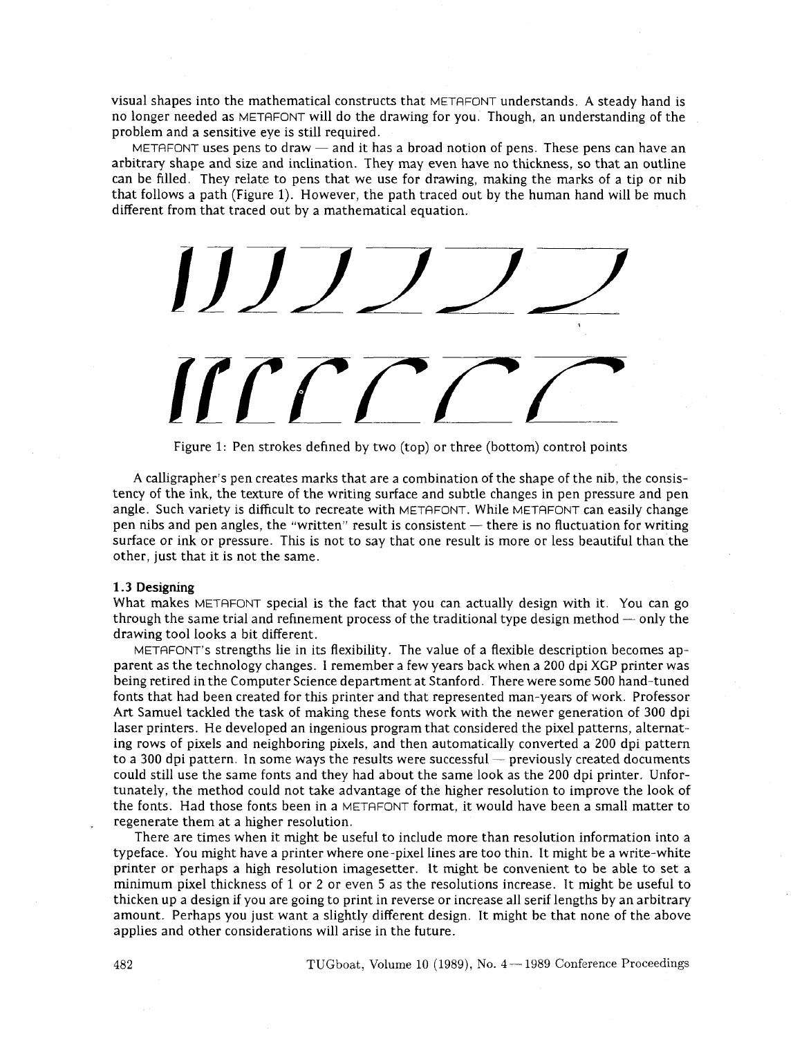visual shapes into the mathematical constructs that METAFONT understands. A steady hand is no longer needed as METAFONT will do the drawing for you. Though, an understanding of the problem and a sensitive eye is still required.

METAFONT uses pens to draw  $-$  and it has a broad notion of pens. These pens can have an arbitrary shape and size and inclination. They may even have no thickness, so that an outline can be filled. They relate to pens that we use for drawing, making the marks of a tip or nib that follows a path (Figure 1). However, the path traced out by the human hand will be much different from that traced out by a mathematical equation.

 $JJ$  $TCT$ 

Figure 1: Pen strokes defined by two (top) or three (bottom) control points

A calligrapher's pen creates marks that are a combination of the shape of the nib, the consistency of the ink, the texture of the writing surface and subtle changes in pen pressure and pen angle. Such variety is difficult to recreate with METAFONT. While METAFONT can easily change pen nibs and pen angles, the "written" result is consistent  $-$  there is no fluctuation for writing surface or ink or pressure. This is not to say that one result is more or less beautiful than the other, just that it is not the same.

#### **1.3** Designing

1.5 Designing<br>What makes METAFONT special is the fact that you can actually design with it. You can go<br>through the same trial and refinement process of the traditional type design method — only the<br>drawing tool looks a bit drawing tool looks a bit different.

METAFONT's strengths lie in its flexibility. The value of a flexible description becomes apparent as the technology changes. 1 remember a few years back when a **200** dpi XGP printer was being retired in the Computer Science department at Stanford. There were some **500** hand-tuned fonts that had been created for this printer and that represented man-years of work. Professor Art Samuel tackled the task of making these fonts work with the newer generation of **300** dpi laser printers. He developed an ingenious program that considered the pixel patterns, alternating rows of pixels and neighboring pixels, and then automatically converted a **200** dpi pattern to a 300 dpi pattern. In some ways the results were successful - previously created documents could still use the same fonts and they had about the same look as the **200** dpi printer. Unfortunately, the method could not take advantage of the hgher resolution to improve the look of the fonts. Had those fonts been in a METAFONT format, it would have been a small matter to regenerate them at a higher resolution.

There are times when it might be useful to include more than resolution information into a typeface. You might have a printer where one -pixel lines are too thin. It might be a write-white printer or perhaps a high resolution imagesetter. It might be convenient to be able to set a minimum pixel thickness of 1 or **2** or even **5** as the resolutions increase. It might be useful to thicken up a design if you are going to print in reverse or increase all serif lengths by an arbitrary amount. Perhaps you just want a slightly different design. It might be that none of the above applies and other considerations will arise in the future.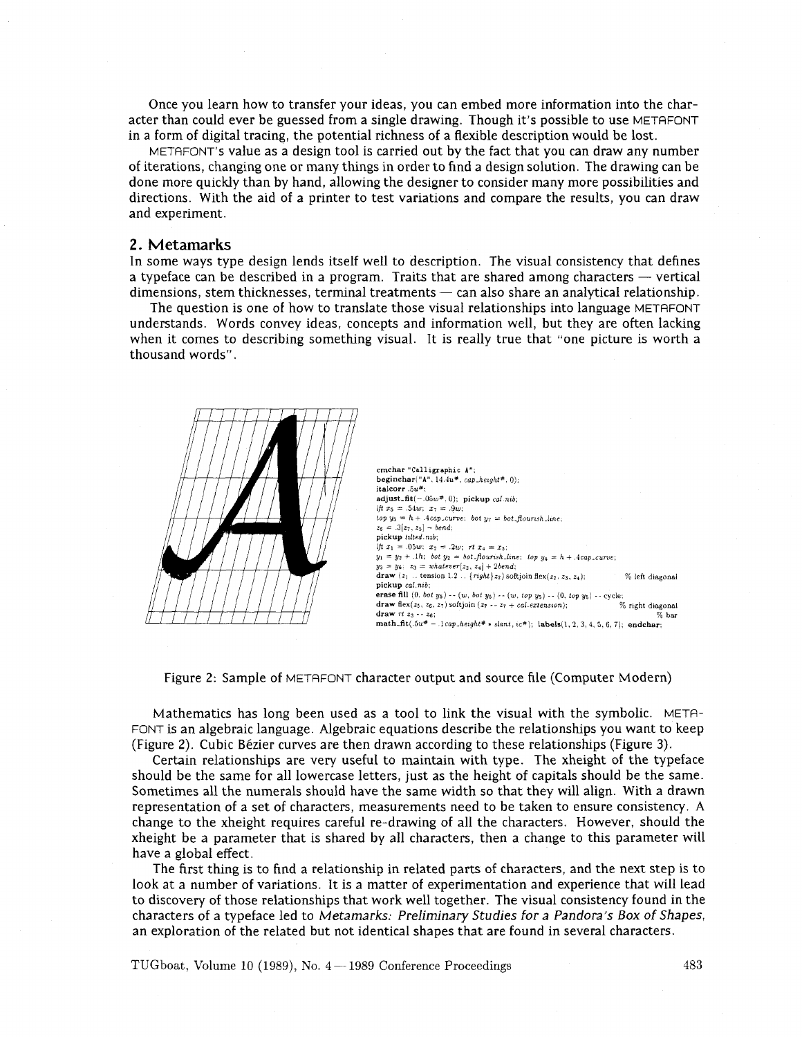Once you learn how to transfer your ideas, you can embed more information into the character than could ever be guessed from a single drawing. Though it's possible to use METAFONT in a form of digital tracing, the potential richness of a flexible description would be lost.

METAFONT's value as a design tool is carried out by the fact that you can draw any number of iterations, changing one or many thngs in order to find a design solution. The drawing can be done more quickly than by hand, allowing the designer to consider many more possibilities and directions. With the aid of a printer to test variations and compare the results, you can draw and experiment.

## **2. Metamarks**

In some ways type design lends itself well to description. The visual consistency that defines 2. INTECT THE MECHANISM IS THE SERVICE TO A SUPPOSE THE VISUAL CONSISTENCY that defines<br>a typeface can be described in a program. Traits that are shared among characters — vertical<br>dimensions stam this has seen in a progra In some ways type design fends fised wen to description. The visual consistency that defines<br>a typeface can be described in a program. Traits that are shared among characters — vertical<br>dimensions, stem thicknesses, termin

The question is one of how to translate those visual relationships into language METAFONT understands. Words convey ideas, concepts and information well, but they are often lacking when it comes to describing something visual. It is really true that "one picture is worth a thousand words".



Figure 2: Sample of METAFONT character output and source file (Computer Modern)

Mathematics has long been used as a tool to link the visual with the symbolic. METR-FONT is an algebraic language. Algebraic equations describe the relationships you want to keep (Figure **2).** Cubic Bezier curves are then drawn according to these relationships (Figure **3).** 

Certain relationships are very useful to maintain with type. The xheight of the typeface should be the same for all lowercase letters, just as the height of capitals should be the same. Sometimes all the numerals should have the same width so that they will align. With a drawn representation of a set of characters, measurements need to be taken to ensure consistency. A change to the xheight requires careful re-drawing of all the characters. However, should the xheight be a parameter that is shared by all characters, then a change to ths parameter will have a global effect.

The first thing is to find a relationship in related parts of characters, and the next step is to look at a number of variations. It is a matter of experimentation and experience that will lead to discovery of those relationships that work well together. The visual consistency found in the characters of a typeface led to Metamarks: Preliminary Studies for a Pandora's *Box* of Shapes, an exploration of the related but not identical shapes that are found in several characters.

TUGboat, Volume **10 (1989),** No. **4- 1989** Conference Proceedings 483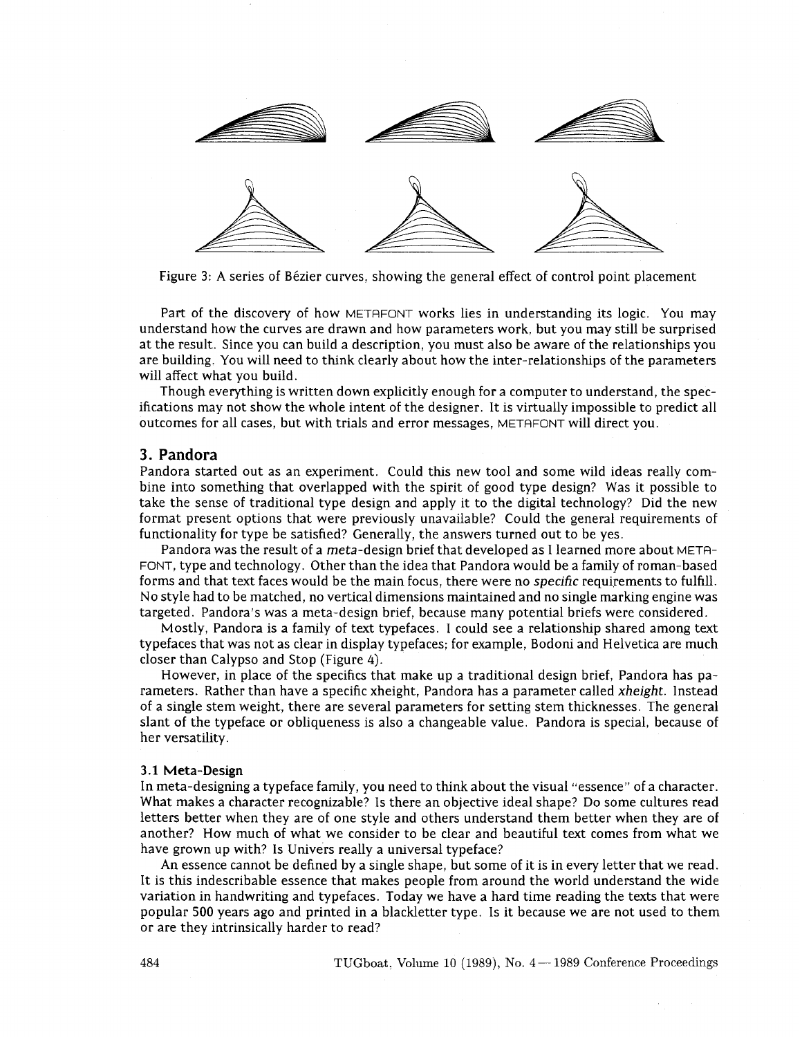

Figure 3: A series of Bézier curves, showing the general effect of control point placement

Part of the discovery of how METAFONT works lies in understanding its logic. You may understand how the curves are drawn and how parameters work, but you may still be surprised at the result. Since you can build a description, you must also be aware of the relationships you are building. You will need to think clearly about how the inter-relationshps of the parameters will affect what you build.

Though everything is written down explicitly enough for a computer to understand, the specifications may not show the whole intent of the designer. It is virtually impossible to predict all outcomes for all cases, but with trials and error messages, METAFONT will direct you.

# **3. Pandora**

Pandora started out as an experiment. Could this new tool and some wild ideas really combine into something that overlapped with the spirit of good type design? Was it possible to take the sense of traditional type design and apply it to the digital technology? Did the new format present options that were previously unavailable? Could the general requirements of functionality for type be satisfied? Generally, the answers turned out to be yes.

Pandora was the result of a meta-design brief that developed as I learned more about META-FONT, type and technology. Other than the idea that Pandora would be a family of roman-based forms and that text faces would be the main focus, there were no specific requirements to fulfill. No style had to be matched, no vertical dimensions maintained and no single marking engine was targeted. Pandora's was a meta-design brief, because many potential briefs were considered.

Mostly, Pandora is a family of text typefaces. I could see a relationshp shared among text typefaces that was not as clear in display typefaces; for example, Bodoni and Helvetica are much closer than Calypso and Stop (Figure 4).

However, in place of the specifics that make up a traditional design brief, Pandora has parameters. Rather than have a specific xheight, Pandora has a parameter called xheight. Instead of a single stem weight, there are several parameters for setting stem thicknesses. The general slant of the typeface or obliqueness is also a changeable value. Pandora is special, because of her versatility.

#### **3.1 Meta-Design**

In meta-designing a typeface family, you need to think about the visual "essence" of a character. What makes a character recognizable? Is there an objective ideal shape? Do some cultures read letters better when they are of one style and others understand them better when they are of another? How much of what we consider to be clear and beautiful text comes from what we have grown up with? Is Univers really a universal typeface?

An essence cannot be defined by a single shape, but some of it is in every letter that we read. It is this indescribable essence that makes people from around the world understand the wide variation in handwriting and typefaces. Today we have a hard time reading the texts that were popular 500 years ago and printed in a blackletter type. Is it because we are not used to them or are they intrinsically harder to read?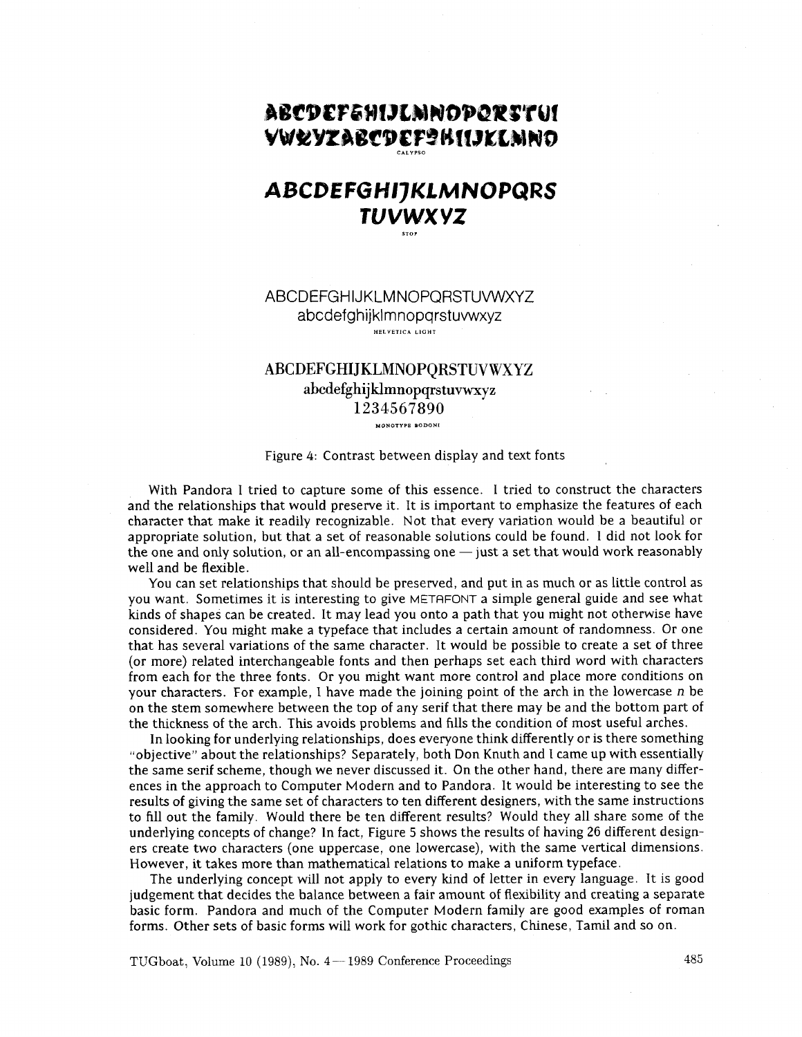# ABCDEFEHIJLMNODORSTUI **YWRYZABCDEF?BIIJKLMNO**

# ABCDEFGHIJKLMNOPQRS **TUVWXYZ**

# ABCDEFGHIJKLMNOPQRSTUWVXYZ abcdefghijklmnopqrstuwxyz **HELVETICA LIGHT**

# **ABCDEFGHIJKLMNOPQRSTUVWXYZ abcdefghijklmnopqrstuvwxyz 1234567890**

**HONOTYPP BODONI** 

### Figure 4: Contrast between display and text fonts

With Pandora I tried to capture some of this essence. I tried to construct the characters and the relationships that would preserve it. It is important to emphasize the features of each character that make it readily recognizable. Not that every variation would be a beautiful or appropriate solution, but that a set of reasonable solutions could be found. 1 did not look for the one and only solution, or an all-encompassing one  $-$  just a set that would work reasonably well and be flexible.

You can set relationships that should be preserved, and put in as much or as little control as you want. Sometimes it is interesting to give METAFONT a simple general guide and see what kinds of shapes can be created. It may lead you onto a path that you might not otherwise have considered. You might make a typeface that includes a certain amount of randomness. Or one that has several variations of the same character. It would be possible to create a set of three (or more) related interchangeable fonts and then perhaps set each third word with characters from each for the three fonts. Or you might want more control and place more conditions on your characters. For example, I have made the joining point of the arch in the lowercase n be on the stem somewhere between the top of any serif that there may be and the bottom part of the thickness of the arch. This avoids problems and fills the condition of most useful arches.

In looking for underlying relationships, does everyone think differently or is there something "objective" about the relationships? Separately, both Don Knuth and I came up with essentially the same serif scheme, though we never discussed it. On the other hand, there are many differences in the approach to Computer Modern and to Pandora. It would be interesting to see the results of giving the same set of characters to ten different designers, with the same instructions to fill out the family. Would there be ten different results? Would they all share some of the underlying concepts of change? In fact, Figure 5 shows the results of having 26 different designers create two characters (one uppercase, one lowercase), with the same vertical dimensions. However, it takes more than mathematical relations to make a uniform typeface.

The underlying concept will not apply to every kind of letter in every language. It is good judgement that decides the balance between a fair amount of flexibility and creating a separate basic form. Pandora and much of the Computer Modern family are good examples of roman forms. Other sets of basic forms will work for gothic characters, Chinese, Tamil and so on.

TUGboat, Volume 10 (1989), No.  $4-1989$  Conference Proceedings  $485$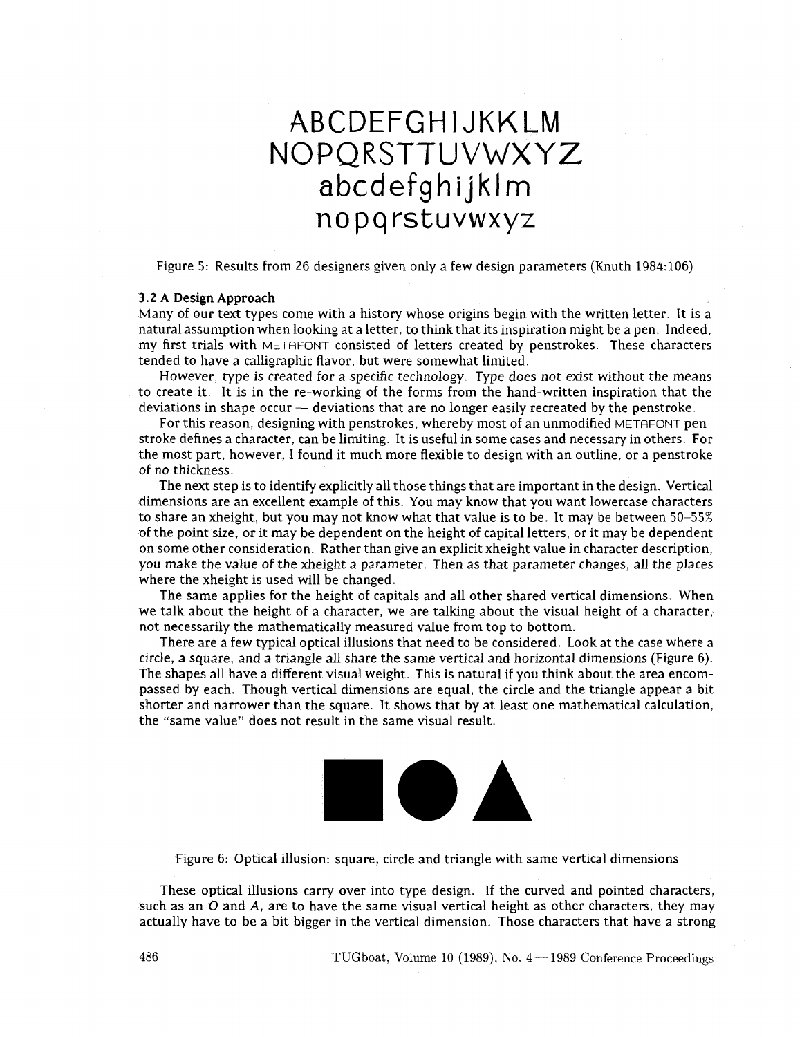# ABCDEFGHIJKKLM NOPQRSTTUVWXYZ abcdefghijklm nopqrstuvwxyz

Figure 5: Results from 26 designers given only a few design parameters (Knuth 1984:106)

#### **3.2 A** Design **Approach**

Many of our text types come with a history whose origins begin with the written letter. It is a natural assumption when looking at a letter, to think that its inspiration might be a pen. Indeed, my first trials with METAFONT consisted of letters created by penstrokes. These characters tended to have a calligraphic flavor, but were somewhat limited.

However, type is created for a specific technology. Type does not exist without the means Frowever, type is created for a specific technology. Type does not exist without the means<br>to create it. It is in the re-working of the forms from the hand-written inspiration that the<br>deviations in shape occur — deviation

For this reason, designing with penstrokes, whereby most of an unmodified METAFONT penstroke defines a character, can be limiting. It is useful in some cases and necessary in others. For the most part, however, I found it much more flexible to design with an outline, or a penstroke of no thickness.

The next step is to identify explicitly all those things that are important in the design. Vertical dimensions are an excellent example of ths. You may know that you want lowercase characters to share an xheight, but you may not know what that value is to be. It may be between 50-55% of the point size, or it may be dependent on the height of capital letters, or it may be dependent on some other consideration. Rather than give an explicit xheight value in character description, you make the value of the xheight a parameter. Then as that parameter changes, all the places where the xheight is used will be changed.

The same applies for the height of capitals and all other shared vertical dimensions. When we talk about the height of a character, we are talking about the visual height of a character, not necessarily the mathematically measured value from top to bottom.

There are a few typical optical illusions that need to be considered. Look at the case where a circle, a square, and a triangle all share the same vertical and horizontal dimensions (Figure 6). The shapes all have a different visual weight. This is natural if you think about the area encompassed by each. Though vertical dimensions are equal, the circle and the triangle appear a bit shorter and narrower than the square. It shows that by at least one mathematical calculation, the "same value" does not result in the same visual result.



Figure 6: Optical illusion: square, circle and triangle with same vertical dimensions

These optical illusions carry over into type design. If the curved and pointed characters, such as an  $O$  and  $A$ , are to have the same visual vertical height as other characters, they may actually have to be a bit bigger in the vertical dimension. Those characters that have a strong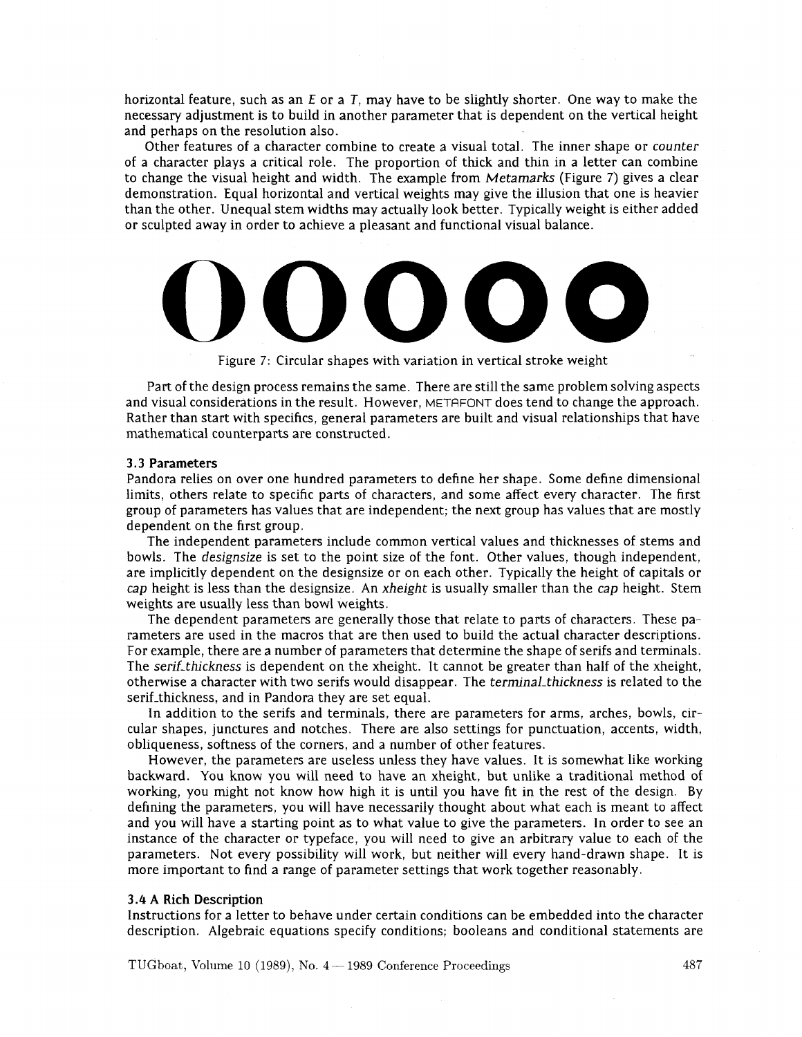horizontal feature, such as an E or a **T,** may have to be slightly shorter. One way to make the necessary adjustment is to build in another parameter that is dependent on the vertical height and perhaps on the resolution also.

Other features of a character combine to create a visual total. The inner shape or counter of a character plays a critical role. The proportion of thick and thm in a letter can combine to change the visual height and width. The example from Metamarks (Figure 7) gives a clear demonstration. Equal horizontal and vertical weights may give the illusion that one is heavier than the other. Unequal stem widths may actually look better. Typically weight is either added or sculpted away in order to achieve a pleasant and functional visual balance.



Figure 7: Circular shapes with variation in vertical stroke weight

Part of the design process remains the same. There are still the same problem solving aspects and visual considerations in the result. However, METAFONT does tend to change the approach. Rather than start with specifics, general parameters are built and visual relationships that have mathematical counterparts are constructed.

#### **3.3** Parameters

Pandora relies on over one hundred parameters to define her shape. Some define dimensional limits, others relate to specific parts of characters, and some affect every character. The first group of parameters has values that are independent; the next group has values that are mostly dependent on the first group.

The independent parameters include common vertical values and thicknesses of stems and bowls. The designsize is set to the point size of the font. Other values, though independent, are implicitly dependent on the designsize or on each other. Typically the height of capitals or cap height is less than the designsize. An xheight is usually smaller than the cap height. Stem weights are usually less than bowl weights.

The dependent parameters are generally those that relate to parts of characters. These parameters are used in the macros that are then used to build the actual character descriptions. For example, there are a number of parameters that determine the shape of serifs and terminals. The serif-thickness is dependent on the xheight. It cannot be greater than half of the xheight, otherwise a character with two serifs would disappear. The terminal-thickness is related to the serif-thickness, and in Pandora they are set equal.

In addition to the serifs and terminals, there are parameters for arms, arches, bowls, circular shapes, junctures and notches. There are also settings for punctuation, accents, width, obliqueness, softness of the corners, and a number of other features.

However, the parameters are useless unless they have values. It is somewhat like working backward. You know you will need to have an xheight, but unlike a traditional method of worktng, you might not know how high it is until you have fit in the rest of the design. By defining the parameters, you will have necessarily thought about what each is meant to affect and you will have a starting point as to what value to give the parameters. In order to see an instance of the character or typeface, you will need to give an arbitrary value to each of the parameters. Not every possibility will work, but neither will every hand-drawn shape. It is more important to find a range of parameter settings that work together reasonably.

#### **3.4 A Rich** Description

Instructions for a letter to behave under certain conditions can be embedded into the character description. Algebraic equations specify conditions; booleans and conditional statements are

TUGboat, Volume 10 (1989), No. 4 – 1989 Conference Proceedings 487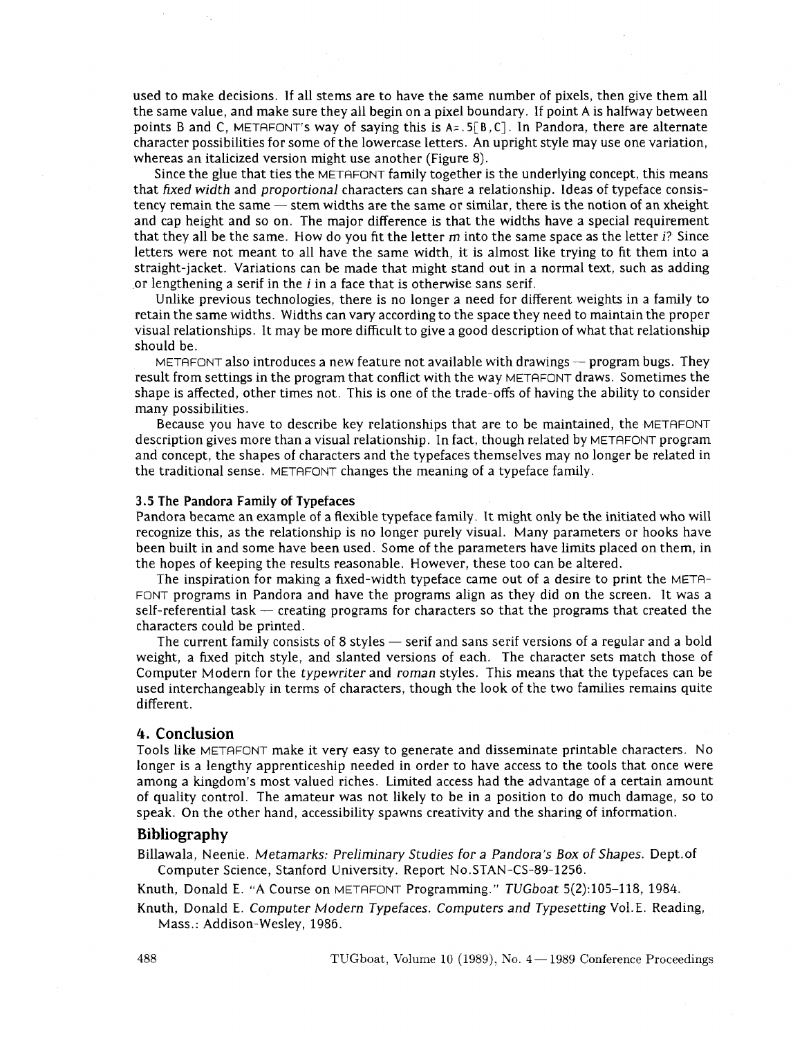used to make decisions. If all stems are to have the same number of pixels, then give them all the same value, and make sure they all begin on a pixel boundary. If point A is halfway between points B and C, METAFONT's way of saying this is **A=. 5[B,** C] . In Pandora, there are alternate character possibilities for some of the lowercase letters. An upright style may use one variation, whereas an italicized version might use another (Figure 8).

Since the glue that ties the METAFONT family together is the underlying concept, this means that fixed width and proportional characters can share a relationship. Ideas of typeface consistency remain the same  $-$  stem widths are the same or similar, there is the notion of an xheight and cap height and so on. The major difference is that the widths have a special requirement that they all be the same. How do you fit the letter  $m$  into the same space as the letter  $i$ ? Since letters were not meant to all have the same width, it is almost like trying to fit them into a straight-jacket. Variations can be made that might stand out in a normal text, such as adding or lengthening a serif in the i in a face that is otherwise sans serif.

Unlike previous technologies, there is no longer a need for different weights in a family to retain the same widths. Widths can vary according to the space they need to maintain the proper visual relationships. It may be more difficult to give a good description of what that relationship should be.

METAFONT also introduces a new feature not available with drawings  $-$  program bugs. They result from settings in the program that conflict with the way METAFONT draws. Sometimes the shape is affected, other times not. This is one of the trade-offs of having the ability to consider many possibilities.

Because you have to describe key relationships that are to be maintained, the METAFONT description gives more than a visual relationship. In fact, though related by METAFONT program and concept, the shapes of characters and the typefaces themselves may no longer be related in the traditional sense. METAFONT changes the meaning of a typeface family.

#### **3.5 The Pandora Family of Typefaces**

Pandora became an example of a flexible typeface family. It might only be the initiated who will recognize this, as the relationship is no longer purely visual. Many parameters or hooks have been built in and some have been used. Some of the parameters have limits placed on them, in the hopes of keeping the results reasonable. However, these too can be altered.

The inspiration for making a fixed-width typeface came out of a desire to print the META-FONT programs in Pandora and have the programs align as they did on the screen. It was a self-referential task  $-$  creating programs for characters so that the programs that created the characters could be printed.

The current family consists of 8 styles — serif and sans serif versions of a regular and a bold weight, a fixed pitch style, and slanted versions of each. The character sets match those of Computer Modern for the typewriter and roman styles. This means that the typefaces can be used interchangeably in terms of characters, though the look of the two families remains quite different.

## 4. **Conclusion**

Tools like METRFONT make it very easy to generate and disseminate printable characters. No longer is a lengthy apprenticeship needed in order to have access to the tools that once were among a kingdom's most valued riches. Limited access had the advantage of a certain amount of quality control. The amateur was not likely to be in a position to do much damage, so to speak. On the other hand, accessibility spawns creativity and the sharing of information.

# **Bibliography**

Billawala, Neenie. Metamarks: Preliminary Studies for a Pandora's Box of Shapes. Dept.of Computer Science, Stanford University. Report No.STAN-CS-89-1256.

Knuth, Donald E. "A Course on METAFONT Programming." TUGboat 5(2):105-118, 1984.

Knuth, Donald E. Computer Modern Typefaces. Computers and Typesetting Vo1.E. Reading, Mass.: Addison-Wesley, 1986.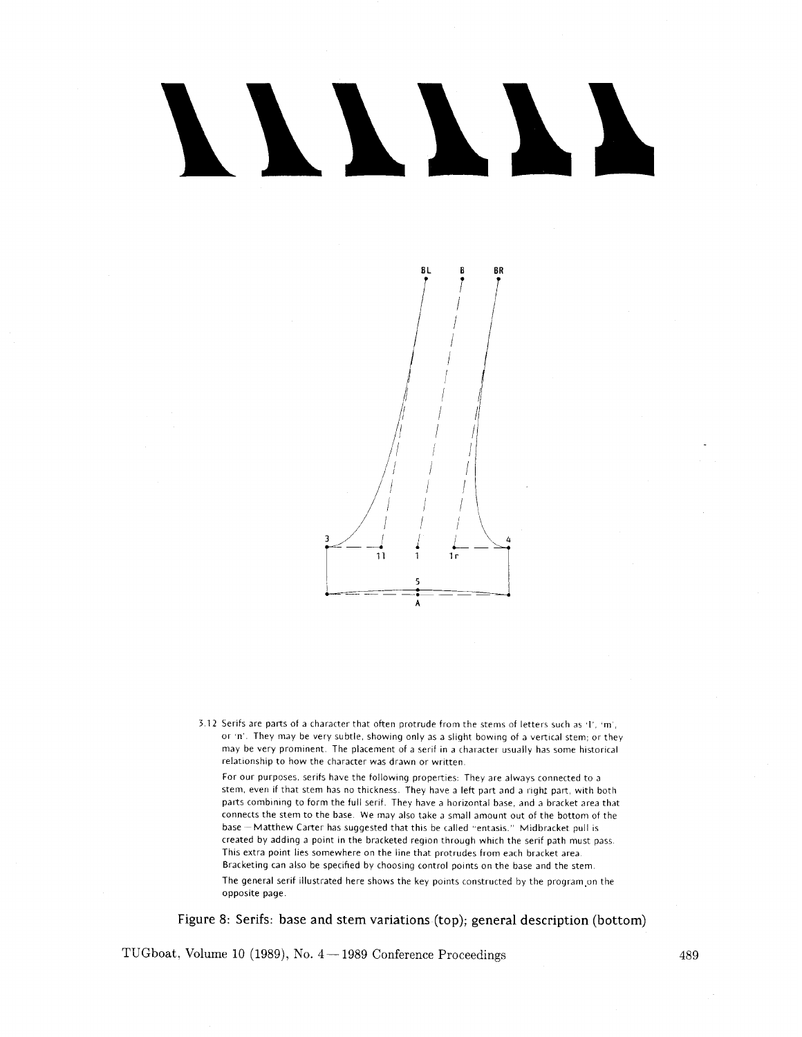# NNNNN



3 12 Serifs are palts of a character that often protrude from the stems of letters such as **'1'.** ,m', or 'n'. They may be very subtle, showing only as a slight bowing of a vertical stem; or they may be very prominent. The placement of a serif in a character usually has some historical relationship to how the character was drawn or written.

For our purposes, serifs have the following properties: They are always connected to a stem, even if that stem has no thickness. They have a left part and a right part, with both parts combining to form the full serif. They have a horizontal base, and a bracket area that connects the stem to the base. We may also take a small amount out of the bottom of the base - Matthew Carter has suggested that this be called "entasis." Midbracket pull is created by adding a point in the bracketed region through which the serif path must pass. This extra point lies somewhere on the line that protrudes from each bracket area. Bracketing can also be specified by choosing control points on the base and the stem. The general serif illustrated here shows the key points constructed by the program.on the opposite page.

Figure 8: Serifs: base and stem variations (top); general description (bottom)

TUGboat, Volume 10 (1989), No.  $4-1989$  Conference Proceedings